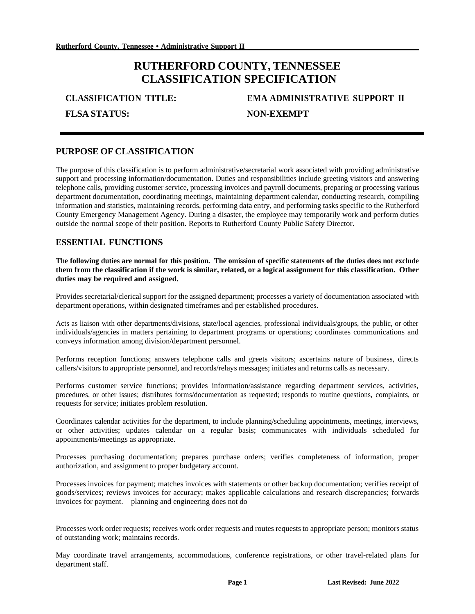# **RUTHERFORD COUNTY, TENNESSEE CLASSIFICATION SPECIFICATION**

**FLSA STATUS: NON-EXEMPT**

# **CLASSIFICATION TITLE: EMA ADMINISTRATIVE SUPPORT II**

### **PURPOSE OF CLASSIFICATION**

The purpose of this classification is to perform administrative/secretarial work associated with providing administrative support and processing information/documentation. Duties and responsibilities include greeting visitors and answering telephone calls, providing customer service, processing invoices and payroll documents, preparing or processing various department documentation, coordinating meetings, maintaining department calendar, conducting research, compiling information and statistics, maintaining records, performing data entry, and performing tasks specific to the Rutherford County Emergency Management Agency. During a disaster, the employee may temporarily work and perform duties outside the normal scope of their position. Reports to Rutherford County Public Safety Director.

#### **ESSENTIAL FUNCTIONS**

**The following duties are normal for this position. The omission of specific statements of the duties does not exclude**  them from the classification if the work is similar, related, or a logical assignment for this classification. Other **duties may be required and assigned.**

Provides secretarial/clerical support for the assigned department; processes a variety of documentation associated with department operations, within designated timeframes and per established procedures.

Acts as liaison with other departments/divisions, state/local agencies, professional individuals/groups, the public, or other individuals/agencies in matters pertaining to department programs or operations; coordinates communications and conveys information among division/department personnel.

Performs reception functions; answers telephone calls and greets visitors; ascertains nature of business, directs callers/visitorsto appropriate personnel, and records/relays messages; initiates and returns calls as necessary.

Performs customer service functions; provides information/assistance regarding department services, activities, procedures, or other issues; distributes forms/documentation as requested; responds to routine questions, complaints, or requests for service; initiates problem resolution.

Coordinates calendar activities for the department, to include planning/scheduling appointments, meetings, interviews, or other activities; updates calendar on a regular basis; communicates with individuals scheduled for appointments/meetings as appropriate.

Processes purchasing documentation; prepares purchase orders; verifies completeness of information, proper authorization, and assignment to proper budgetary account.

Processes invoices for payment; matches invoices with statements or other backup documentation; verifies receipt of goods/services; reviews invoices for accuracy; makes applicable calculations and research discrepancies; forwards invoices for payment. – planning and engineering does not do

Processes work order requests; receives work order requests and routes requests to appropriate person; monitors status of outstanding work; maintains records.

May coordinate travel arrangements, accommodations, conference registrations, or other travel-related plans for department staff.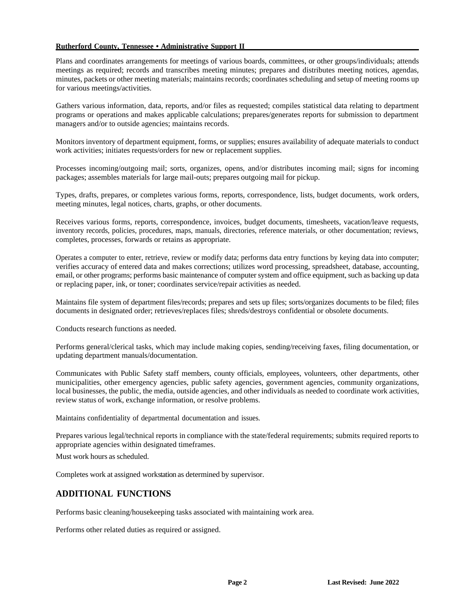#### **Rutherford County, Tennessee • Administrative Support II**

Plans and coordinates arrangements for meetings of various boards, committees, or other groups/individuals; attends meetings as required; records and transcribes meeting minutes; prepares and distributes meeting notices, agendas, minutes, packets or other meeting materials; maintains records; coordinates scheduling and setup of meeting rooms up for various meetings/activities.

Gathers various information, data, reports, and/or files as requested; compiles statistical data relating to department programs or operations and makes applicable calculations; prepares/generates reports for submission to department managers and/or to outside agencies; maintains records.

Monitors inventory of department equipment, forms, or supplies; ensures availability of adequate materials to conduct work activities; initiates requests/orders for new or replacement supplies.

Processes incoming/outgoing mail; sorts, organizes, opens, and/or distributes incoming mail; signs for incoming packages; assembles materials for large mail-outs; prepares outgoing mail for pickup.

Types, drafts, prepares, or completes various forms, reports, correspondence, lists, budget documents, work orders, meeting minutes, legal notices, charts, graphs, or other documents.

Receives various forms, reports, correspondence, invoices, budget documents, timesheets, vacation/leave requests, inventory records, policies, procedures, maps, manuals, directories, reference materials, or other documentation; reviews, completes, processes, forwards or retains as appropriate.

Operates a computer to enter, retrieve, review or modify data; performs data entry functions by keying data into computer; verifies accuracy of entered data and makes corrections; utilizes word processing, spreadsheet, database, accounting, email, or other programs; performs basic maintenance of computer system and office equipment, such as backing up data or replacing paper, ink, or toner; coordinates service/repair activities as needed.

Maintains file system of department files/records; prepares and sets up files; sorts/organizes documents to be filed; files documents in designated order; retrieves/replaces files; shreds/destroys confidential or obsolete documents.

Conducts research functions as needed.

Performs general/clerical tasks, which may include making copies, sending/receiving faxes, filing documentation, or updating department manuals/documentation.

Communicates with Public Safety staff members, county officials, employees, volunteers, other departments, other municipalities, other emergency agencies, public safety agencies, government agencies, community organizations, local businesses, the public, the media, outside agencies, and other individuals as needed to coordinate work activities, review status of work, exchange information, or resolve problems.

Maintains confidentiality of departmental documentation and issues.

Prepares various legal/technical reports in compliance with the state/federal requirements; submits required reports to appropriate agencies within designated timeframes.

Must work hours as scheduled.

Completes work at assigned workstation as determined by supervisor.

#### **ADDITIONAL FUNCTIONS**

Performs basic cleaning/housekeeping tasks associated with maintaining work area.

Performs other related duties as required or assigned.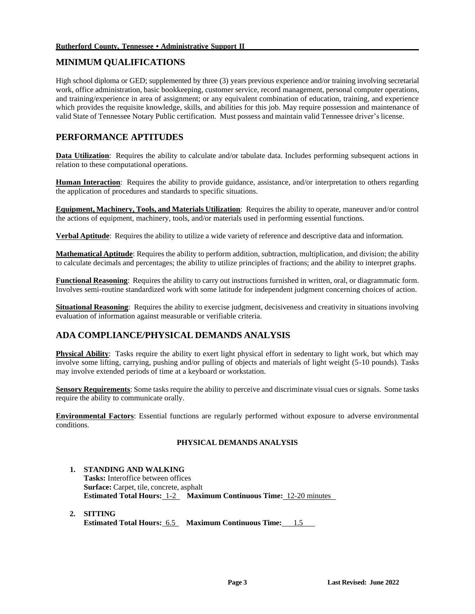# **MINIMUM QUALIFICATIONS**

High school diploma or GED; supplemented by three (3) years previous experience and/or training involving secretarial work, office administration, basic bookkeeping, customer service, record management, personal computer operations, and training/experience in area of assignment; or any equivalent combination of education, training, and experience which provides the requisite knowledge, skills, and abilities for this job. May require possession and maintenance of valid State of Tennessee Notary Public certification. Must possess and maintain valid Tennessee driver's license.

# **PERFORMANCE APTITUDES**

**Data Utilization**: Requires the ability to calculate and/or tabulate data. Includes performing subsequent actions in relation to these computational operations.

**Human Interaction**: Requires the ability to provide guidance, assistance, and/or interpretation to others regarding the application of procedures and standards to specific situations.

**Equipment, Machinery, Tools, and Materials Utilization**: Requires the ability to operate, maneuver and/or control the actions of equipment, machinery, tools, and/or materials used in performing essential functions.

**Verbal Aptitude**: Requires the ability to utilize a wide variety of reference and descriptive data and information.

**Mathematical Aptitude**: Requires the ability to perform addition, subtraction, multiplication, and division; the ability to calculate decimals and percentages; the ability to utilize principles of fractions; and the ability to interpret graphs.

**Functional Reasoning**: Requires the ability to carry out instructions furnished in written, oral, or diagrammatic form. Involves semi-routine standardized work with some latitude for independent judgment concerning choices of action.

**Situational Reasoning**: Requires the ability to exercise judgment, decisiveness and creativity in situations involving evaluation of information against measurable or verifiable criteria.

## **ADA COMPLIANCE/PHYSICAL DEMANDS ANALYSIS**

**Physical Ability**: Tasks require the ability to exert light physical effort in sedentary to light work, but which may involve some lifting, carrying, pushing and/or pulling of objects and materials of light weight (5-10 pounds). Tasks may involve extended periods of time at a keyboard or workstation.

**Sensory Requirements**: Some tasks require the ability to perceive and discriminate visual cues or signals. Some tasks require the ability to communicate orally.

**Environmental Factors**: Essential functions are regularly performed without exposure to adverse environmental conditions.

#### **PHYSICAL DEMANDS ANALYSIS**

#### **1. STANDING AND WALKING**

**Tasks:** Interoffice between offices **Surface:** Carpet, tile, concrete, asphalt **Estimated Total Hours:** 1-2 **Maximum Continuous Time:** 12-20 minutes

**2. SITTING Estimated Total Hours:** 6.5 **Maximum Continuous Time:** 1.5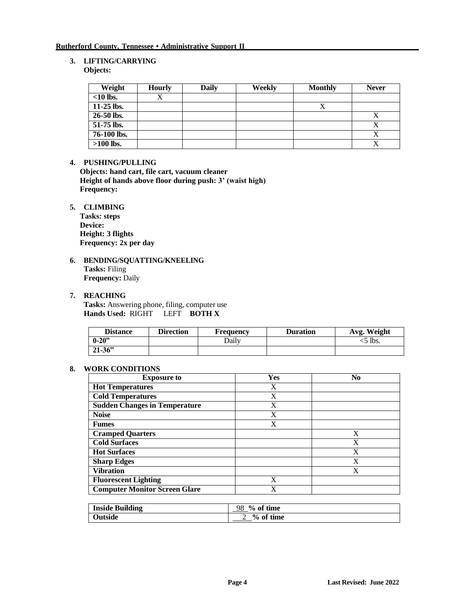#### **3. LIFTING/CARRYING Objects:**

| Weight       | <b>Hourly</b> | Daily | Weekly | <b>Monthly</b> | <b>Never</b> |
|--------------|---------------|-------|--------|----------------|--------------|
| $<$ 10 lbs.  |               |       |        |                |              |
| $11-25$ lbs. |               |       |        |                |              |
| 26-50 lbs.   |               |       |        |                | л            |
| 51-75 lbs.   |               |       |        |                |              |
| 76-100 lbs.  |               |       |        |                |              |
| $>100$ lbs.  |               |       |        |                |              |

#### **4. PUSHING/PULLING**

**Objects: hand cart, file cart, vacuum cleaner Height of hands above floor during push: 3' (waist high) Frequency:**

#### **5. CLIMBING**

**Tasks: steps Device: Height: 3 flights Frequency: 2x per day**

**6. BENDING/SQUATTING/KNEELING Tasks:** Filing **Frequency:** Daily

#### **7. REACHING**

**Tasks:** Answering phone, filing, computer use **Hands Used:** RIGHT LEFT **BOTH X**

| <b>Distance</b> | <b>Direction</b> | <b>Frequency</b> | <b>Duration</b> | Avg. Weight |
|-----------------|------------------|------------------|-----------------|-------------|
| $0 - 20$ "      |                  | Dailv            |                 | $5$ lbs.    |
| $21 - 36$       |                  |                  |                 |             |

#### **8. WORK CONDITIONS**

| <b>Exposure to</b>                   | Yes | No |
|--------------------------------------|-----|----|
| <b>Hot Temperatures</b>              | X   |    |
| <b>Cold Temperatures</b>             | X   |    |
| <b>Sudden Changes in Temperature</b> | X   |    |
| <b>Noise</b>                         | X   |    |
| <b>Fumes</b>                         | X   |    |
| <b>Cramped Quarters</b>              |     | X  |
| <b>Cold Surfaces</b>                 |     | X  |
| <b>Hot Surfaces</b>                  |     | X  |
| <b>Sharp Edges</b>                   |     | X  |
| <b>Vibration</b>                     |     | X  |
| <b>Fluorescent Lighting</b>          | X   |    |
| <b>Computer Monitor Screen Glare</b> | X   |    |

| <b>Inside Building</b> | 98<br>$\%$ of time |
|------------------------|--------------------|
| <b>Outside</b>         | $%$ of time        |